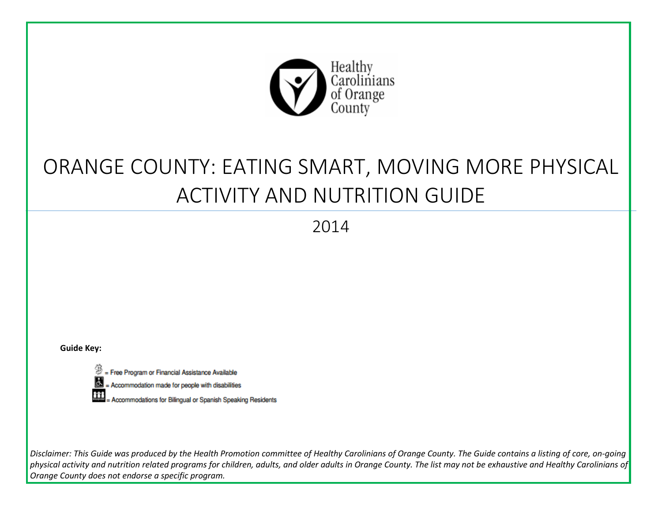

## ORANGE COUNTY: EATING SMART, MOVING MORE PHYSICAL ACTIVITY AND NUTRITION GUIDE

2014

**Guide Key:**

= Free Program or Financial Assistance Available

圆 = Accommodation made for people with disabilities

Ħ Accommodations for Bilingual or Spanish Speaking Residents

*Disclaimer: This Guide was produced by the Health Promotion committee of Healthy Carolinians of Orange County. The Guide contains a listing of core, on-going physical activity and nutrition related programs for children, adults, and older adults in Orange County. The list may not be exhaustive and Healthy Carolinians of Orange County does not endorse a specific program.*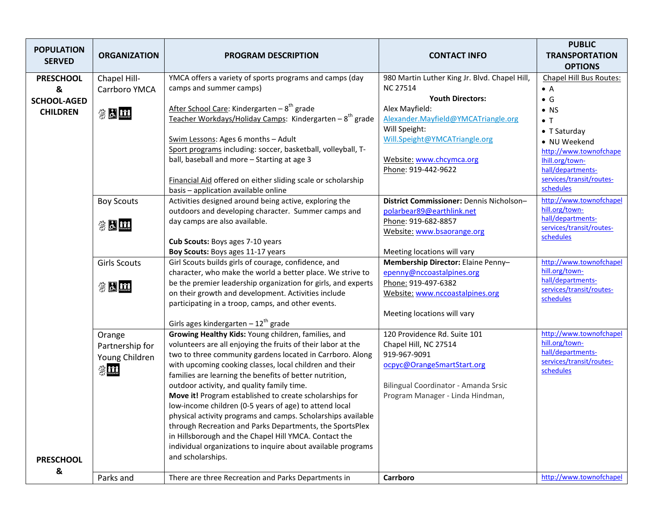| <b>POPULATION</b><br><b>SERVED</b> | <b>ORGANIZATION</b> | <b>PROGRAM DESCRIPTION</b>                                                                                         | <b>CONTACT INFO</b>                           | <b>PUBLIC</b><br><b>TRANSPORTATION</b><br><b>OPTIONS</b> |
|------------------------------------|---------------------|--------------------------------------------------------------------------------------------------------------------|-----------------------------------------------|----------------------------------------------------------|
| <b>PRESCHOOL</b>                   | Chapel Hill-        | YMCA offers a variety of sports programs and camps (day                                                            | 980 Martin Luther King Jr. Blvd. Chapel Hill, | Chapel Hill Bus Routes:                                  |
| &                                  | Carrboro YMCA       | camps and summer camps)                                                                                            | <b>NC 27514</b>                               | $\bullet$ A                                              |
| <b>SCHOOL-AGED</b>                 |                     |                                                                                                                    | <b>Youth Directors:</b>                       | $\bullet$ G                                              |
| <b>CHILDREN</b>                    | 第因的                 | After School Care: Kindergarten – 8 <sup>th</sup> grade                                                            | Alex Mayfield:                                | $\bullet$ NS                                             |
|                                    |                     | Teacher Workdays/Holiday Camps: Kindergarten - 8 <sup>th</sup> grade                                               | Alexander.Mayfield@YMCATriangle.org           | $\bullet$ T                                              |
|                                    |                     |                                                                                                                    | Will Speight:                                 | $\bullet$ T Saturday                                     |
|                                    |                     | Swim Lessons: Ages 6 months - Adult                                                                                | Will.Speight@YMCATriangle.org                 | • NU Weekend                                             |
|                                    |                     | Sport programs including: soccer, basketball, volleyball, T-                                                       |                                               | http://www.townofchape                                   |
|                                    |                     | ball, baseball and more - Starting at age 3                                                                        | Website: www.chcymca.org                      | Ihill.org/town-                                          |
|                                    |                     |                                                                                                                    | Phone: 919-442-9622                           | hall/departments-<br>services/transit/routes-            |
|                                    |                     | Financial Aid offered on either sliding scale or scholarship<br>basis - application available online               |                                               | schedules                                                |
|                                    |                     | Activities designed around being active, exploring the                                                             | District Commissioner: Dennis Nicholson-      | http://www.townofchapel                                  |
|                                    | <b>Boy Scouts</b>   | outdoors and developing character. Summer camps and                                                                | polarbear89@earthlink.net                     | hill.org/town-                                           |
|                                    |                     | day camps are also available.                                                                                      | Phone: 919-682-8857                           | hall/departments-                                        |
|                                    | 第因的                 |                                                                                                                    | Website: www.bsaorange.org                    | services/transit/routes-                                 |
|                                    |                     | Cub Scouts: Boys ages 7-10 years                                                                                   |                                               | schedules                                                |
|                                    |                     | Boy Scouts: Boys ages 11-17 years                                                                                  | Meeting locations will vary                   |                                                          |
|                                    | <b>Girls Scouts</b> | Girl Scouts builds girls of courage, confidence, and                                                               | Membership Director: Elaine Penny-            | http://www.townofchapel                                  |
|                                    |                     | character, who make the world a better place. We strive to                                                         | epenny@nccoastalpines.org                     | hill.org/town-                                           |
|                                    | 翁因的                 | be the premier leadership organization for girls, and experts                                                      | Phone: 919-497-6382                           | hall/departments-                                        |
|                                    |                     | on their growth and development. Activities include                                                                | Website: www.nccoastalpines.org               | services/transit/routes-<br>schedules                    |
|                                    |                     | participating in a troop, camps, and other events.                                                                 |                                               |                                                          |
|                                    |                     |                                                                                                                    | Meeting locations will vary                   |                                                          |
|                                    |                     | Girls ages kindergarten - $12^{th}$ grade                                                                          |                                               |                                                          |
|                                    | Orange              | Growing Healthy Kids: Young children, families, and                                                                | 120 Providence Rd. Suite 101                  | http://www.townofchapel                                  |
|                                    | Partnership for     | volunteers are all enjoying the fruits of their labor at the                                                       | Chapel Hill, NC 27514                         | hill.org/town-<br>hall/departments-                      |
|                                    | Young Children      | two to three community gardens located in Carrboro. Along                                                          | 919-967-9091                                  | services/transit/routes-                                 |
|                                    | $\frac{m}{2}$       | with upcoming cooking classes, local children and their<br>families are learning the benefits of better nutrition, | ocpyc@OrangeSmartStart.org                    | schedules                                                |
|                                    |                     | outdoor activity, and quality family time.                                                                         | Bilingual Coordinator - Amanda Srsic          |                                                          |
|                                    |                     | Move it! Program established to create scholarships for                                                            | Program Manager - Linda Hindman,              |                                                          |
|                                    |                     | low-income children (0-5 years of age) to attend local                                                             |                                               |                                                          |
|                                    |                     | physical activity programs and camps. Scholarships available                                                       |                                               |                                                          |
|                                    |                     | through Recreation and Parks Departments, the SportsPlex                                                           |                                               |                                                          |
|                                    |                     | in Hillsborough and the Chapel Hill YMCA. Contact the                                                              |                                               |                                                          |
|                                    |                     | individual organizations to inquire about available programs                                                       |                                               |                                                          |
| <b>PRESCHOOL</b>                   |                     | and scholarships.                                                                                                  |                                               |                                                          |
| &                                  |                     |                                                                                                                    |                                               |                                                          |
|                                    | Parks and           | There are three Recreation and Parks Departments in                                                                | Carrboro                                      | http://www.townofchapel                                  |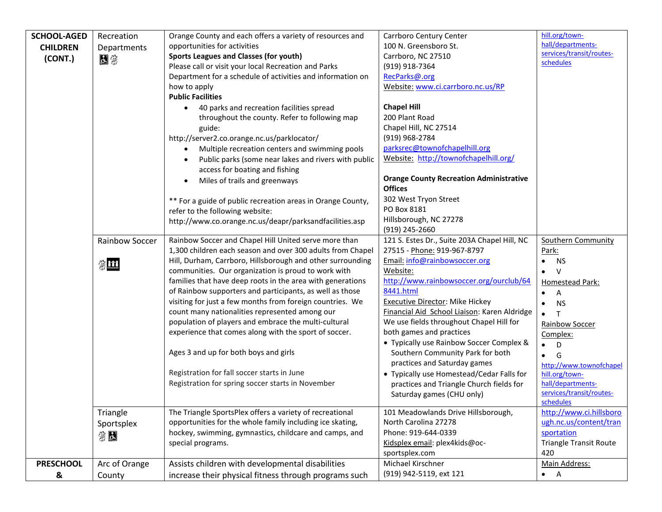| <b>SCHOOL-AGED</b> | Recreation     | Orange County and each offers a variety of resources and                               | Carrboro Century Center                        | hill.org/town-                |
|--------------------|----------------|----------------------------------------------------------------------------------------|------------------------------------------------|-------------------------------|
| <b>CHILDREN</b>    | Departments    | opportunities for activities                                                           | 100 N. Greensboro St.                          | hall/departments-             |
| (CONT.)            | 因来             | <b>Sports Leagues and Classes (for youth)</b>                                          | Carrboro, NC 27510                             | services/transit/routes-      |
|                    |                | Please call or visit your local Recreation and Parks                                   | (919) 918-7364                                 | schedules                     |
|                    |                | Department for a schedule of activities and information on                             | RecParks@.org                                  |                               |
|                    |                | how to apply                                                                           | Website: www.ci.carrboro.nc.us/RP              |                               |
|                    |                | <b>Public Facilities</b>                                                               |                                                |                               |
|                    |                | 40 parks and recreation facilities spread<br>$\bullet$                                 | <b>Chapel Hill</b>                             |                               |
|                    |                | throughout the county. Refer to following map                                          | 200 Plant Road                                 |                               |
|                    |                | guide:                                                                                 | Chapel Hill, NC 27514                          |                               |
|                    |                | http://server2.co.orange.nc.us/parklocator/                                            | (919) 968-2784                                 |                               |
|                    |                | Multiple recreation centers and swimming pools                                         | parksrec@townofchapelhill.org                  |                               |
|                    |                | Public parks (some near lakes and rivers with public<br>access for boating and fishing | Website: http://townofchapelhill.org/          |                               |
|                    |                | Miles of trails and greenways                                                          | <b>Orange County Recreation Administrative</b> |                               |
|                    |                |                                                                                        | <b>Offices</b>                                 |                               |
|                    |                | ** For a guide of public recreation areas in Orange County,                            | 302 West Tryon Street                          |                               |
|                    |                | refer to the following website:                                                        | PO Box 8181                                    |                               |
|                    |                | http://www.co.orange.nc.us/deapr/parksandfacilities.asp                                | Hillsborough, NC 27278                         |                               |
|                    |                |                                                                                        | (919) 245-2660                                 |                               |
|                    | Rainbow Soccer | Rainbow Soccer and Chapel Hill United serve more than                                  | 121 S. Estes Dr., Suite 203A Chapel Hill, NC   | <b>Southern Community</b>     |
|                    |                | 1,300 children each season and over 300 adults from Chapel                             | 27515 - Phone: 919-967-8797                    | Park:                         |
|                    | 第11            | Hill, Durham, Carrboro, Hillsborough and other surrounding                             | Email: info@rainbowsoccer.org                  | <b>NS</b><br>$\bullet$        |
|                    |                | communities. Our organization is proud to work with                                    | Website:                                       | $\vee$<br>$\bullet$           |
|                    |                | families that have deep roots in the area with generations                             | http://www.rainbowsoccer.org/ourclub/64        | Homestead Park:               |
|                    |                | of Rainbow supporters and participants, as well as those                               | 8441.html                                      | Α<br>$\bullet$                |
|                    |                | visiting for just a few months from foreign countries. We                              | <b>Executive Director: Mike Hickey</b>         | <b>NS</b><br>$\bullet$        |
|                    |                | count many nationalities represented among our                                         | Financial Aid School Liaison: Karen Aldridge   | $\mathsf{T}$<br>$\bullet$     |
|                    |                | population of players and embrace the multi-cultural                                   | We use fields throughout Chapel Hill for       | <b>Rainbow Soccer</b>         |
|                    |                | experience that comes along with the sport of soccer.                                  | both games and practices                       | Complex:                      |
|                    |                |                                                                                        | • Typically use Rainbow Soccer Complex &       | D<br>$\bullet$                |
|                    |                | Ages 3 and up for both boys and girls                                                  | Southern Community Park for both               | G<br>$\bullet$                |
|                    |                |                                                                                        | practices and Saturday games                   | http://www.townofchapel       |
|                    |                | Registration for fall soccer starts in June                                            | • Typically use Homestead/Cedar Falls for      | hill.org/town-                |
|                    |                | Registration for spring soccer starts in November                                      | practices and Triangle Church fields for       | hall/departments-             |
|                    |                |                                                                                        | Saturday games (CHU only)                      | services/transit/routes-      |
|                    |                |                                                                                        |                                                | schedules                     |
|                    | Triangle       | The Triangle SportsPlex offers a variety of recreational                               | 101 Meadowlands Drive Hillsborough,            | http://www.ci.hillsboro       |
|                    | Sportsplex     | opportunities for the whole family including ice skating,                              | North Carolina 27278                           | ugh.nc.us/content/tran        |
|                    | 第因             | hockey, swimming, gymnastics, childcare and camps, and                                 | Phone: 919-644-0339                            | sportation                    |
|                    |                | special programs.                                                                      | Kidsplex email: plex4kids@oc-                  | <b>Triangle Transit Route</b> |
|                    |                |                                                                                        | sportsplex.com                                 | 420                           |
| <b>PRESCHOOL</b>   | Arc of Orange  | Assists children with developmental disabilities                                       | Michael Kirschner                              | Main Address:                 |
| &                  | County         | increase their physical fitness through programs such                                  | (919) 942-5119, ext 121                        | $\bullet$ A                   |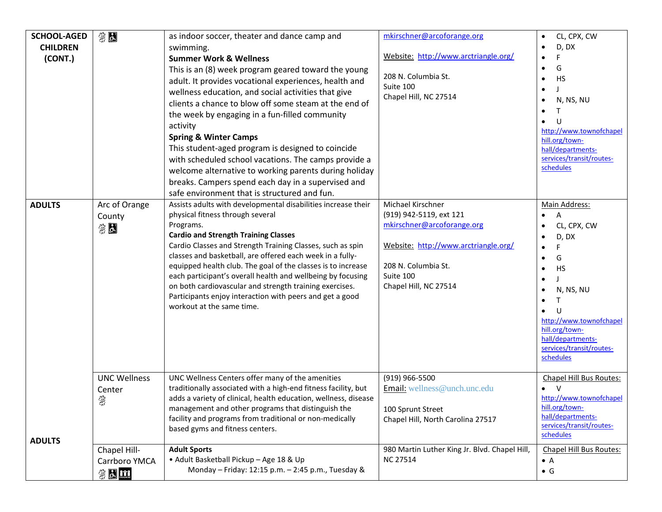| <b>SCHOOL-AGED</b> | 第因                                   | as indoor soccer, theater and dance camp and                                                                                                                                                                                                                                                                                                                                                                                                                                                                                                                                                               | mkirschner@arcoforange.org                                                                                                                                                      | CL, CPX, CW<br>$\bullet$                                                                                                                                                                                                                                                             |
|--------------------|--------------------------------------|------------------------------------------------------------------------------------------------------------------------------------------------------------------------------------------------------------------------------------------------------------------------------------------------------------------------------------------------------------------------------------------------------------------------------------------------------------------------------------------------------------------------------------------------------------------------------------------------------------|---------------------------------------------------------------------------------------------------------------------------------------------------------------------------------|--------------------------------------------------------------------------------------------------------------------------------------------------------------------------------------------------------------------------------------------------------------------------------------|
| <b>CHILDREN</b>    |                                      | swimming.                                                                                                                                                                                                                                                                                                                                                                                                                                                                                                                                                                                                  |                                                                                                                                                                                 | D, DX<br>$\bullet$                                                                                                                                                                                                                                                                   |
| (CONT.)            |                                      | <b>Summer Work &amp; Wellness</b>                                                                                                                                                                                                                                                                                                                                                                                                                                                                                                                                                                          | Website: http://www.arctriangle.org/                                                                                                                                            | $\bullet$                                                                                                                                                                                                                                                                            |
|                    |                                      | This is an (8) week program geared toward the young<br>adult. It provides vocational experiences, health and<br>wellness education, and social activities that give<br>clients a chance to blow off some steam at the end of<br>the week by engaging in a fun-filled community<br>activity<br><b>Spring &amp; Winter Camps</b><br>This student-aged program is designed to coincide<br>with scheduled school vacations. The camps provide a<br>welcome alternative to working parents during holiday<br>breaks. Campers spend each day in a supervised and<br>safe environment that is structured and fun. | 208 N. Columbia St.<br>Suite 100<br>Chapel Hill, NC 27514                                                                                                                       | G<br>$\bullet$<br><b>HS</b><br>$\bullet$<br>$\bullet$<br>N, NS, NU<br>$\bullet$<br>т<br>http://www.townofchapel<br>hill.org/town-<br>hall/departments-<br>services/transit/routes-<br>schedules                                                                                      |
| <b>ADULTS</b>      | Arc of Orange<br>County<br>第因        | Assists adults with developmental disabilities increase their<br>physical fitness through several<br>Programs.<br><b>Cardio and Strength Training Classes</b><br>Cardio Classes and Strength Training Classes, such as spin<br>classes and basketball, are offered each week in a fully-<br>equipped health club. The goal of the classes is to increase<br>each participant's overall health and wellbeing by focusing<br>on both cardiovascular and strength training exercises.<br>Participants enjoy interaction with peers and get a good<br>workout at the same time.                                | Michael Kirschner<br>(919) 942-5119, ext 121<br>mkirschner@arcoforange.org<br>Website: http://www.arctriangle.org/<br>208 N. Columbia St.<br>Suite 100<br>Chapel Hill, NC 27514 | Main Address:<br>A<br>CL, CPX, CW<br>$\bullet$<br>D, DX<br>$\bullet$<br>$\bullet$<br>G<br>$\bullet$<br><b>HS</b><br>$\bullet$<br>$\bullet$<br>N, NS, NU<br>$\bullet$<br>т<br>http://www.townofchapel<br>hill.org/town-<br>hall/departments-<br>services/transit/routes-<br>schedules |
| <b>ADULTS</b>      | <b>UNC Wellness</b><br>Center<br>答   | UNC Wellness Centers offer many of the amenities<br>traditionally associated with a high-end fitness facility, but<br>adds a variety of clinical, health education, wellness, disease<br>management and other programs that distinguish the<br>facility and programs from traditional or non-medically<br>based gyms and fitness centers.                                                                                                                                                                                                                                                                  | (919) 966-5500<br>Email: wellness@unch.unc.edu<br>100 Sprunt Street<br>Chapel Hill, North Carolina 27517                                                                        | Chapel Hill Bus Routes:<br>$\mathsf{V}$<br>$\bullet$<br>http://www.townofchapel<br>hill.org/town-<br>hall/departments-<br>services/transit/routes-<br>schedules                                                                                                                      |
|                    | Chapel Hill-<br>Carrboro YMCA<br>翁因的 | <b>Adult Sports</b><br>• Adult Basketball Pickup - Age 18 & Up<br>Monday - Friday: 12:15 p.m. - 2:45 p.m., Tuesday &                                                                                                                                                                                                                                                                                                                                                                                                                                                                                       | 980 Martin Luther King Jr. Blvd. Chapel Hill,<br><b>NC 27514</b>                                                                                                                | Chapel Hill Bus Routes:<br>$\bullet$ A<br>$\bullet$ G                                                                                                                                                                                                                                |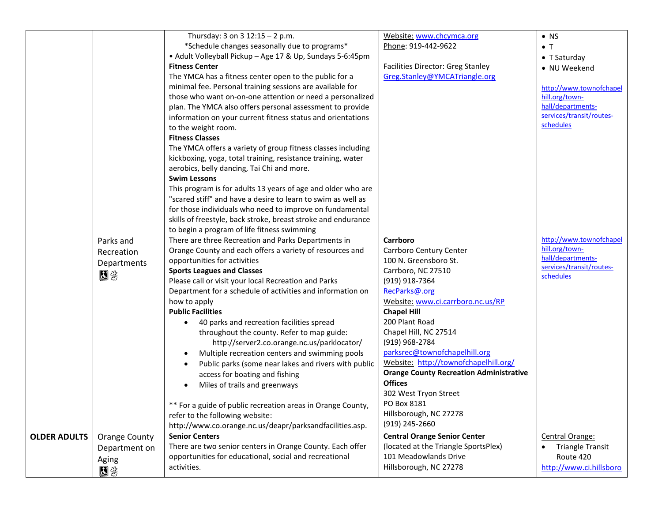|                     |               | Thursday: 3 on $3$ 12:15 - 2 p.m.                             | Website: www.chcymca.org                       | $\bullet$ NS             |
|---------------------|---------------|---------------------------------------------------------------|------------------------------------------------|--------------------------|
|                     |               | *Schedule changes seasonally due to programs*                 | Phone: 919-442-9622                            | $\bullet$ T              |
|                     |               | • Adult Volleyball Pickup - Age 17 & Up, Sundays 5-6:45pm     |                                                | $\bullet$ T Saturday     |
|                     |               | <b>Fitness Center</b>                                         | <b>Facilities Director: Greg Stanley</b>       | • NU Weekend             |
|                     |               | The YMCA has a fitness center open to the public for a        | Greg.Stanley@YMCATriangle.org                  |                          |
|                     |               | minimal fee. Personal training sessions are available for     |                                                | http://www.townofchapel  |
|                     |               | those who want on-on-one attention or need a personalized     |                                                | hill.org/town-           |
|                     |               | plan. The YMCA also offers personal assessment to provide     |                                                | hall/departments-        |
|                     |               | information on your current fitness status and orientations   |                                                | services/transit/routes- |
|                     |               | to the weight room.                                           |                                                | schedules                |
|                     |               | <b>Fitness Classes</b>                                        |                                                |                          |
|                     |               | The YMCA offers a variety of group fitness classes including  |                                                |                          |
|                     |               | kickboxing, yoga, total training, resistance training, water  |                                                |                          |
|                     |               | aerobics, belly dancing, Tai Chi and more.                    |                                                |                          |
|                     |               | <b>Swim Lessons</b>                                           |                                                |                          |
|                     |               | This program is for adults 13 years of age and older who are  |                                                |                          |
|                     |               | "scared stiff" and have a desire to learn to swim as well as  |                                                |                          |
|                     |               | for those individuals who need to improve on fundamental      |                                                |                          |
|                     |               | skills of freestyle, back stroke, breast stroke and endurance |                                                |                          |
|                     |               | to begin a program of life fitness swimming                   |                                                |                          |
|                     | Parks and     | There are three Recreation and Parks Departments in           | Carrboro                                       | http://www.townofchapel  |
|                     | Recreation    | Orange County and each offers a variety of resources and      | Carrboro Century Center                        | hill.org/town-           |
|                     | Departments   | opportunities for activities                                  | 100 N. Greensboro St.                          | hall/departments-        |
|                     | 因笨            | <b>Sports Leagues and Classes</b>                             | Carrboro, NC 27510                             | services/transit/routes- |
|                     |               | Please call or visit your local Recreation and Parks          | (919) 918-7364                                 | schedules                |
|                     |               | Department for a schedule of activities and information on    | RecParks@.org                                  |                          |
|                     |               | how to apply                                                  | Website: www.ci.carrboro.nc.us/RP              |                          |
|                     |               | <b>Public Facilities</b>                                      | <b>Chapel Hill</b>                             |                          |
|                     |               | 40 parks and recreation facilities spread                     | 200 Plant Road                                 |                          |
|                     |               | throughout the county. Refer to map guide:                    | Chapel Hill, NC 27514                          |                          |
|                     |               | http://server2.co.orange.nc.us/parklocator/                   | (919) 968-2784                                 |                          |
|                     |               | Multiple recreation centers and swimming pools                | parksrec@townofchapelhill.org                  |                          |
|                     |               | Public parks (some near lakes and rivers with public          | Website: http://townofchapelhill.org/          |                          |
|                     |               | access for boating and fishing                                | <b>Orange County Recreation Administrative</b> |                          |
|                     |               | Miles of trails and greenways                                 | <b>Offices</b>                                 |                          |
|                     |               |                                                               | 302 West Tryon Street                          |                          |
|                     |               | ** For a guide of public recreation areas in Orange County,   | PO Box 8181                                    |                          |
|                     |               | refer to the following website:                               | Hillsborough, NC 27278                         |                          |
|                     |               | http://www.co.orange.nc.us/deapr/parksandfacilities.asp.      | (919) 245-2660                                 |                          |
| <b>OLDER ADULTS</b> | Orange County | <b>Senior Centers</b>                                         | <b>Central Orange Senior Center</b>            | Central Orange:          |
|                     | Department on | There are two senior centers in Orange County. Each offer     | (located at the Triangle SportsPlex)           | <b>Triangle Transit</b>  |
|                     | Aging         | opportunities for educational, social and recreational        | 101 Meadowlands Drive                          | Route 420                |
|                     | 因缘            | activities.                                                   | Hillsborough, NC 27278                         | http://www.ci.hillsboro  |
|                     |               |                                                               |                                                |                          |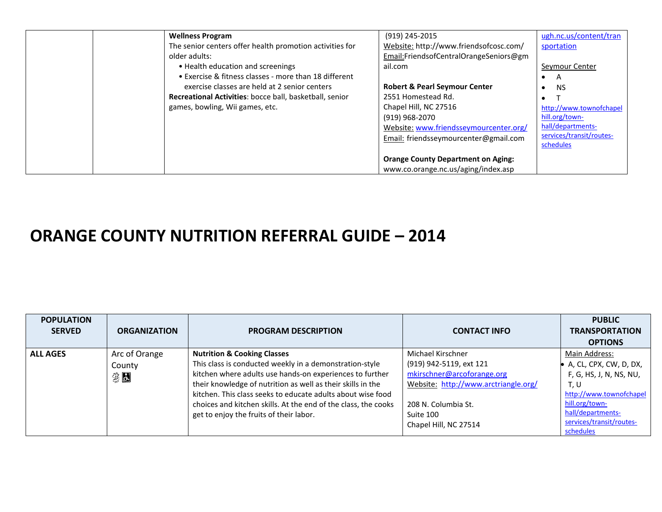| <b>Wellness Program</b>                                  | (919) 245-2015                            | ugh.nc.us/content/tran   |
|----------------------------------------------------------|-------------------------------------------|--------------------------|
| The senior centers offer health promotion activities for | Website: http://www.friendsofcosc.com/    | sportation               |
| older adults:                                            | Email:FriendsofCentralOrangeSeniors@gm    |                          |
| • Health education and screenings                        | ail.com                                   | Seymour Center           |
| • Exercise & fitness classes - more than 18 different    |                                           | A                        |
| exercise classes are held at 2 senior centers            | <b>Robert &amp; Pearl Seymour Center</b>  | <b>NS</b>                |
| Recreational Activities: bocce ball, basketball, senior  | 2551 Homestead Rd.                        |                          |
| games, bowling, Wii games, etc.                          | Chapel Hill, NC 27516                     | http://www.townofchapel  |
|                                                          | (919) 968-2070                            | hill.org/town-           |
|                                                          | Website: www.friendsseymourcenter.org/    | hall/departments-        |
|                                                          | Email: friendsseymourcenter@gmail.com     | services/transit/routes- |
|                                                          |                                           | schedules                |
|                                                          | <b>Orange County Department on Aging:</b> |                          |
|                                                          | www.co.orange.nc.us/aging/index.asp       |                          |

## **ORANGE COUNTY NUTRITION REFERRAL GUIDE – 2014**

| <b>POPULATION</b><br><b>SERVED</b> | <b>ORGANIZATION</b>           | <b>PROGRAM DESCRIPTION</b>                                                                                                                                                                                                                                                                                                                                                                               | <b>CONTACT INFO</b>                                                                                                                                                             | <b>PUBLIC</b><br><b>TRANSPORTATION</b><br><b>OPTIONS</b>                                                                                                                                |
|------------------------------------|-------------------------------|----------------------------------------------------------------------------------------------------------------------------------------------------------------------------------------------------------------------------------------------------------------------------------------------------------------------------------------------------------------------------------------------------------|---------------------------------------------------------------------------------------------------------------------------------------------------------------------------------|-----------------------------------------------------------------------------------------------------------------------------------------------------------------------------------------|
| <b>ALL AGES</b>                    | Arc of Orange<br>County<br>第日 | <b>Nutrition &amp; Cooking Classes</b><br>This class is conducted weekly in a demonstration-style<br>kitchen where adults use hands-on experiences to further<br>their knowledge of nutrition as well as their skills in the<br>kitchen. This class seeks to educate adults about wise food<br>choices and kitchen skills. At the end of the class, the cooks<br>get to enjoy the fruits of their labor. | Michael Kirschner<br>(919) 942-5119, ext 121<br>mkirschner@arcoforange.org<br>Website: http://www.arctriangle.org/<br>208 N. Columbia St.<br>Suite 100<br>Chapel Hill, NC 27514 | Main Address:<br>• A, CL, CPX, CW, D, DX,<br>F, G, HS, J, N, NS, NU,<br>T, U<br>http://www.townofchapel<br>hill.org/town-<br>hall/departments-<br>services/transit/routes-<br>schedules |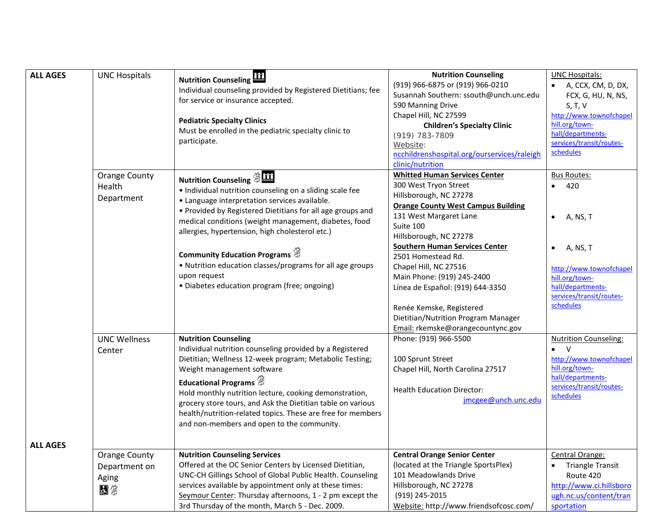| <b>ALL AGES</b> | <b>UNC Hospitals</b>                          | <b>Nutrition Counseling</b><br>Individual counseling provided by Registered Dietitians; fee<br>for service or insurance accepted.<br><b>Pediatric Specialty Clinics</b><br>Must be enrolled in the pediatric specialty clinic to<br>participate.                                                                                                                                                                                                                                                     | <b>Nutrition Counseling</b><br>(919) 966-6875 or (919) 966-0210<br>Susannah Southern: ssouth@unch.unc.edu<br>590 Manning Drive<br>Chapel Hill, NC 27599<br><b>Children's Specialty Clinic</b><br>(919) 783-7809<br>Website:<br>ncchildrenshospital.org/ourservices/raleigh<br>clinic/nutrition                                                                                                                                                                          | <b>UNC Hospitals:</b><br>A, CCX, CM, D, DX,<br>FCX, G, HU, N, NS,<br>S, T, V<br>http://www.townofchapel<br>hill.org/town-<br>hall/departments-<br>services/transit/routes-<br>schedules             |
|-----------------|-----------------------------------------------|------------------------------------------------------------------------------------------------------------------------------------------------------------------------------------------------------------------------------------------------------------------------------------------------------------------------------------------------------------------------------------------------------------------------------------------------------------------------------------------------------|-------------------------------------------------------------------------------------------------------------------------------------------------------------------------------------------------------------------------------------------------------------------------------------------------------------------------------------------------------------------------------------------------------------------------------------------------------------------------|-----------------------------------------------------------------------------------------------------------------------------------------------------------------------------------------------------|
|                 | <b>Orange County</b><br>Health<br>Department  | <b>Nutrition Counseling \$ 111</b><br>· Individual nutrition counseling on a sliding scale fee<br>• Language interpretation services available.<br>• Provided by Registered Dietitians for all age groups and<br>medical conditions (weight management, diabetes, food<br>allergies, hypertension, high cholesterol etc.)<br>Community Education Programs $\mathcal{F}$<br>• Nutrition education classes/programs for all age groups<br>upon request<br>• Diabetes education program (free; ongoing) | <b>Whitted Human Services Center</b><br>300 West Tryon Street<br>Hillsborough, NC 27278<br><b>Orange County West Campus Building</b><br>131 West Margaret Lane<br>Suite 100<br>Hillsborough, NC 27278<br><b>Southern Human Services Center</b><br>2501 Homestead Rd.<br>Chapel Hill, NC 27516<br>Main Phone: (919) 245-2400<br>Línea de Español: (919) 644-3350<br>Renée Kemske, Registered<br>Dietitian/Nutrition Program Manager<br>Email: rkemske@orangecountync.gov | <b>Bus Routes:</b><br>420<br>$\bullet$<br>A, NS, T<br>$\bullet$<br>A, NS, T<br>$\bullet$<br>http://www.townofchapel<br>hill.org/town-<br>hall/departments-<br>services/transit/routes-<br>schedules |
|                 | <b>UNC Wellness</b><br>Center                 | <b>Nutrition Counseling</b><br>Individual nutrition counseling provided by a Registered<br>Dietitian; Wellness 12-week program; Metabolic Testing;<br>Weight management software<br>Educational Programs<br>Hold monthly nutrition lecture, cooking demonstration,<br>grocery store tours, and Ask the Dietitian table on various<br>health/nutrition-related topics. These are free for members<br>and non-members and open to the community.                                                       | Phone: (919) 966-5500<br>100 Sprunt Street<br>Chapel Hill, North Carolina 27517<br><b>Health Education Director:</b><br>jmcgee@unch.unc.edu                                                                                                                                                                                                                                                                                                                             | <b>Nutrition Counseling:</b><br>$\bullet$ V<br>http://www.townofchapel<br>hill.org/town-<br>hall/departments-<br>services/transit/routes-<br>schedules                                              |
| <b>ALL AGES</b> | Orange County<br>Department on<br>Aging<br>因缘 | <b>Nutrition Counseling Services</b><br>Offered at the OC Senior Centers by Licensed Dietitian,<br>UNC-CH Gillings School of Global Public Health. Counseling<br>services available by appointment only at these times:<br>Seymour Center: Thursday afternoons, 1 - 2 pm except the<br>3rd Thursday of the month, March 5 - Dec. 2009.                                                                                                                                                               | <b>Central Orange Senior Center</b><br>(located at the Triangle SportsPlex)<br>101 Meadowlands Drive<br>Hillsborough, NC 27278<br>(919) 245-2015<br>Website: http://www.friendsofcosc.com/                                                                                                                                                                                                                                                                              | Central Orange:<br><b>Triangle Transit</b><br>Route 420<br>http://www.ci.hillsboro<br>ugh.nc.us/content/tran<br>sportation                                                                          |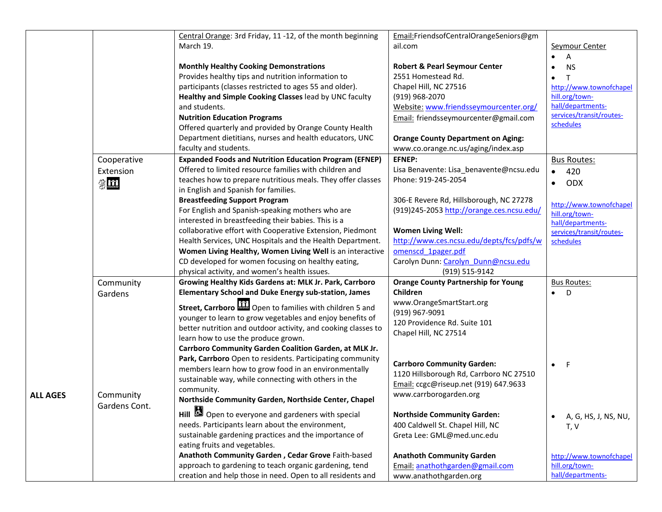|          |               | Central Orange: 3rd Friday, 11 -12, of the month beginning       | Email: Friends of Central Orange Seniors@gm |                                           |
|----------|---------------|------------------------------------------------------------------|---------------------------------------------|-------------------------------------------|
|          |               | March 19.                                                        | ail.com                                     | Seymour Center                            |
|          |               |                                                                  |                                             | $\overline{A}$                            |
|          |               | <b>Monthly Healthy Cooking Demonstrations</b>                    | <b>Robert &amp; Pearl Seymour Center</b>    | <b>NS</b><br>$\bullet$                    |
|          |               | Provides healthy tips and nutrition information to               | 2551 Homestead Rd.                          | T                                         |
|          |               | participants (classes restricted to ages 55 and older).          | Chapel Hill, NC 27516                       | http://www.townofchapel                   |
|          |               | Healthy and Simple Cooking Classes lead by UNC faculty           | (919) 968-2070                              | hill.org/town-                            |
|          |               | and students.                                                    | Website: www.friendsseymourcenter.org/      | hall/departments-                         |
|          |               | <b>Nutrition Education Programs</b>                              | Email: friendsseymourcenter@gmail.com       | services/transit/routes-                  |
|          |               | Offered quarterly and provided by Orange County Health           |                                             | schedules                                 |
|          |               | Department dietitians, nurses and health educators, UNC          | <b>Orange County Department on Aging:</b>   |                                           |
|          |               | faculty and students.                                            | www.co.orange.nc.us/aging/index.asp         |                                           |
|          | Cooperative   | <b>Expanded Foods and Nutrition Education Program (EFNEP)</b>    | <b>EFNEP:</b>                               | <b>Bus Routes:</b>                        |
|          | Extension     | Offered to limited resource families with children and           | Lisa Benavente: Lisa_benavente@ncsu.edu     | 420<br>$\bullet$                          |
|          |               | teaches how to prepare nutritious meals. They offer classes      | Phone: 919-245-2054                         |                                           |
|          | $\frac{m}{2}$ | in English and Spanish for families.                             |                                             | <b>ODX</b><br>$\bullet$                   |
|          |               | <b>Breastfeeding Support Program</b>                             | 306-E Revere Rd, Hillsborough, NC 27278     |                                           |
|          |               | For English and Spanish-speaking mothers who are                 | (919)245-2053 http://orange.ces.ncsu.edu/   | http://www.townofchapel<br>hill.org/town- |
|          |               | interested in breastfeeding their babies. This is a              |                                             | hall/departments-                         |
|          |               | collaborative effort with Cooperative Extension, Piedmont        | <b>Women Living Well:</b>                   | services/transit/routes-                  |
|          |               | Health Services, UNC Hospitals and the Health Department.        | http://www.ces.ncsu.edu/depts/fcs/pdfs/w    | schedules                                 |
|          |               | Women Living Healthy, Women Living Well is an interactive        | omenscd 1pager.pdf                          |                                           |
|          |               | CD developed for women focusing on healthy eating,               | Carolyn Dunn: Carolyn Dunn@ncsu.edu         |                                           |
|          |               | physical activity, and women's health issues.                    | (919) 515-9142                              |                                           |
|          | Community     | Growing Healthy Kids Gardens at: MLK Jr. Park, Carrboro          | <b>Orange County Partnership for Young</b>  | <b>Bus Routes:</b>                        |
|          | Gardens       | <b>Elementary School and Duke Energy sub-station, James</b>      | Children                                    | $\bullet$ D                               |
|          |               | Street, Carrboro <b>111</b> Open to families with children 5 and | www.OrangeSmartStart.org                    |                                           |
|          |               |                                                                  | (919) 967-9091                              |                                           |
|          |               | younger to learn to grow vegetables and enjoy benefits of        | 120 Providence Rd. Suite 101                |                                           |
|          |               | better nutrition and outdoor activity, and cooking classes to    | Chapel Hill, NC 27514                       |                                           |
|          |               | learn how to use the produce grown.                              |                                             |                                           |
|          |               | Carrboro Community Garden Coalition Garden, at MLK Jr.           |                                             |                                           |
|          |               | Park, Carrboro Open to residents. Participating community        | <b>Carrboro Community Garden:</b>           | - F<br>$\bullet$                          |
|          |               | members learn how to grow food in an environmentally             | 1120 Hillsborough Rd, Carrboro NC 27510     |                                           |
|          |               | sustainable way, while connecting with others in the             | Email: ccgc@riseup.net (919) 647.9633       |                                           |
| ALL AGES | Community     | community.                                                       | www.carrborogarden.org                      |                                           |
|          | Gardens Cont. | Northside Community Garden, Northside Center, Chapel             |                                             |                                           |
|          |               | Hill <b>3</b> Open to everyone and gardeners with special        | <b>Northside Community Garden:</b>          | A, G, HS, J, NS, NU,<br>$\bullet$         |
|          |               | needs. Participants learn about the environment,                 | 400 Caldwell St. Chapel Hill, NC            | T, V                                      |
|          |               | sustainable gardening practices and the importance of            | Greta Lee: GML@med.unc.edu                  |                                           |
|          |               | eating fruits and vegetables.                                    |                                             |                                           |
|          |               | Anathoth Community Garden, Cedar Grove Faith-based               | <b>Anathoth Community Garden</b>            | http://www.townofchapel                   |
|          |               | approach to gardening to teach organic gardening, tend           | Email: anathothgarden@gmail.com             | hill.org/town-                            |
|          |               | creation and help those in need. Open to all residents and       | www.anathothgarden.org                      | hall/departments-                         |